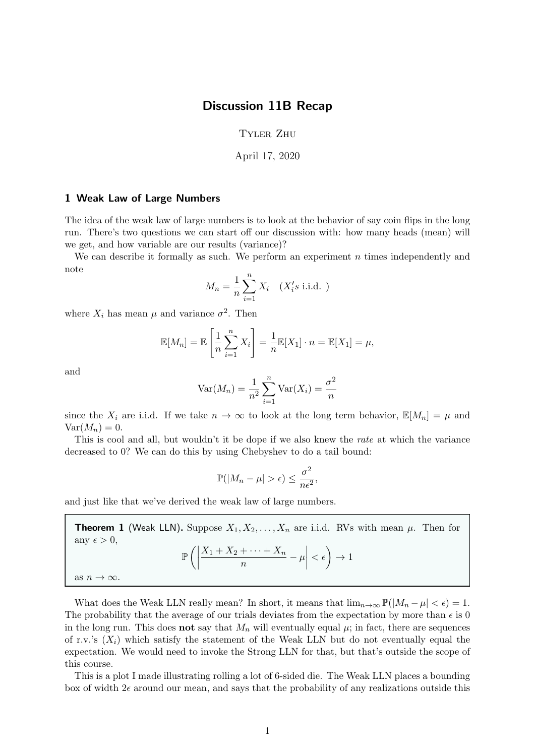## Discussion 11B Recap

## Tyler Zhu

April 17, 2020

## 1 Weak Law of Large Numbers

The idea of the weak law of large numbers is to look at the behavior of say coin flips in the long run. There's two questions we can start off our discussion with: how many heads (mean) will we get, and how variable are our results (variance)?

We can describe it formally as such. We perform an experiment  $n$  times independently and note

$$
M_n = \frac{1}{n} \sum_{i=1}^n X_i \quad (X_i's \text{ i.i.d.})
$$

where  $X_i$  has mean  $\mu$  and variance  $\sigma^2$ . Then

$$
\mathbb{E}[M_n] = \mathbb{E}\left[\frac{1}{n}\sum_{i=1}^n X_i\right] = \frac{1}{n}\mathbb{E}[X_1] \cdot n = \mathbb{E}[X_1] = \mu,
$$

and

$$
Var(M_n) = \frac{1}{n^2} \sum_{i=1}^{n} Var(X_i) = \frac{\sigma^2}{n}
$$

since the  $X_i$  are i.i.d. If we take  $n \to \infty$  to look at the long term behavior,  $\mathbb{E}[M_n] = \mu$  and  $Var(M_n) = 0.$ 

This is cool and all, but wouldn't it be dope if we also knew the *rate* at which the variance decreased to 0? We can do this by using Chebyshev to do a tail bound:

$$
\mathbb{P}(|M_n - \mu| > \epsilon) \le \frac{\sigma^2}{n\epsilon^2},
$$

and just like that we've derived the weak law of large numbers.

**Theorem 1** (Weak LLN). Suppose  $X_1, X_2, \ldots, X_n$  are i.i.d. RVs with mean  $\mu$ . Then for any  $\epsilon > 0$ ,  $\mathbb{P}\left(\bigg|\right.$  $X_1 + X_2 + \cdots + X_n$  $\left|\frac{+\cdots+X_n}{n}-\mu\right|$  $\langle \epsilon \rangle \rightarrow 1$ as  $n \to \infty$ .

What does the Weak LLN really mean? In short, it means that  $\lim_{n\to\infty} \mathbb{P}(|M_n-\mu|<\epsilon) = 1$ . The probability that the average of our trials deviates from the expectation by more than  $\epsilon$  is 0 in the long run. This does **not** say that  $M_n$  will eventually equal  $\mu$ ; in fact, there are sequences of r.v.'s  $(X_i)$  which satisfy the statement of the Weak LLN but do not eventually equal the expectation. We would need to invoke the Strong LLN for that, but that's outside the scope of this course.

This is a plot I made illustrating rolling a lot of 6-sided die. The Weak LLN places a bounding box of width  $2\epsilon$  around our mean, and says that the probability of any realizations outside this